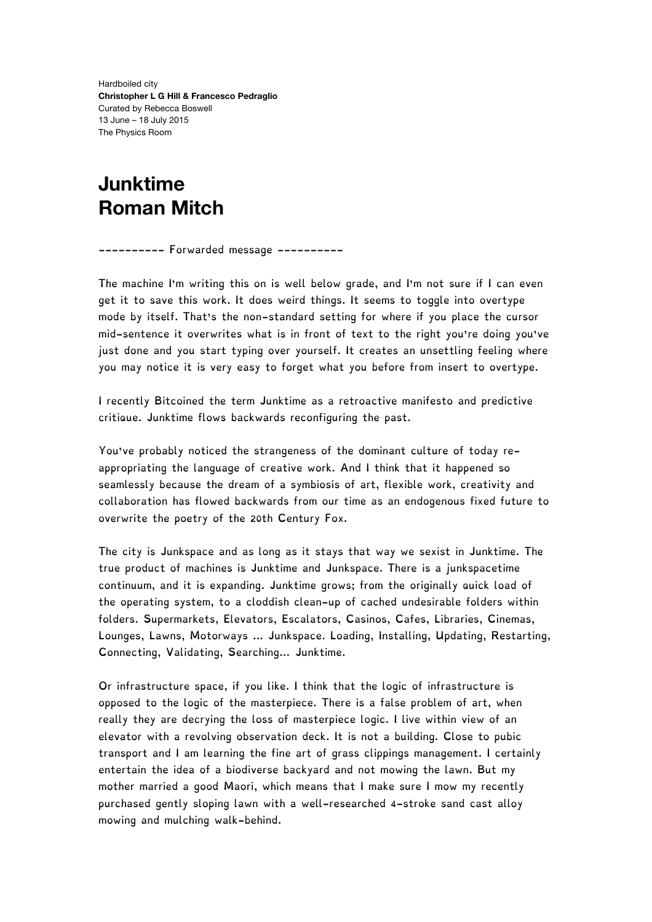Hardboiled city **Christopher L G Hill & Francesco Pedraglio** Curated by Rebecca Boswell 13 June – 18 July 2015 The Physics Room

## **Junktime Roman Mitch**

---------- Forwarded message ----------

The machine I'm writing this on is well below grade, and I'm not sure if I can even get it to save this work. It does weird things. It seems to toggle into overtype mode by itself. That's the non-standard setting for where if you place the cursor mid-sentence it overwrites what is in front of text to the right you're doing you've just done and you start typing over yourself. It creates an unsettling feeling where you may notice it is very easy to forget what you before from insert to overtype.

I recently Bitcoined the term Junktime as a retroactive manifesto and predictive critique. Junktime flows backwards reconfiguring the past.

You've probably noticed the strangeness of the dominant culture of today reappropriating the language of creative work. And I think that it happened so seamlessly because the dream of a symbiosis of art, flexible work, creativity and collaboration has flowed backwards from our time as an endogenous fixed future to overwrite the poetry of the 20th Century Fox.

The city is Junkspace and as long as it stays that way we sexist in Junktime. The true product of machines is Junktime and Junkspace. There is a junkspacetime continuum, and it is expanding. Junktime grows; from the originally quick load of the operating system, to a cloddish clean-up of cached undesirable folders within folders. Supermarkets, Elevators, Escalators, Casinos, Cafes, Libraries, Cinemas, Lounges, Lawns, Motorways ... Junkspace. Loading, Installing, Updating, Restarting, Connecting, Validating, Searching… Junktime.

Or infrastructure space, if you like. I think that the logic of infrastructure is opposed to the logic of the masterpiece. There is a false problem of art, when really they are decrying the loss of masterpiece logic. I live within view of an elevator with a revolving observation deck. It is not a building. Close to pubic transport and I am learning the fine art of grass clippings management. I certainly entertain the idea of a biodiverse backyard and not mowing the lawn. But my mother married a good Maori, which means that I make sure I mow my recently purchased gently sloping lawn with a well-researched 4-stroke sand cast alloy mowing and mulching walk-behind.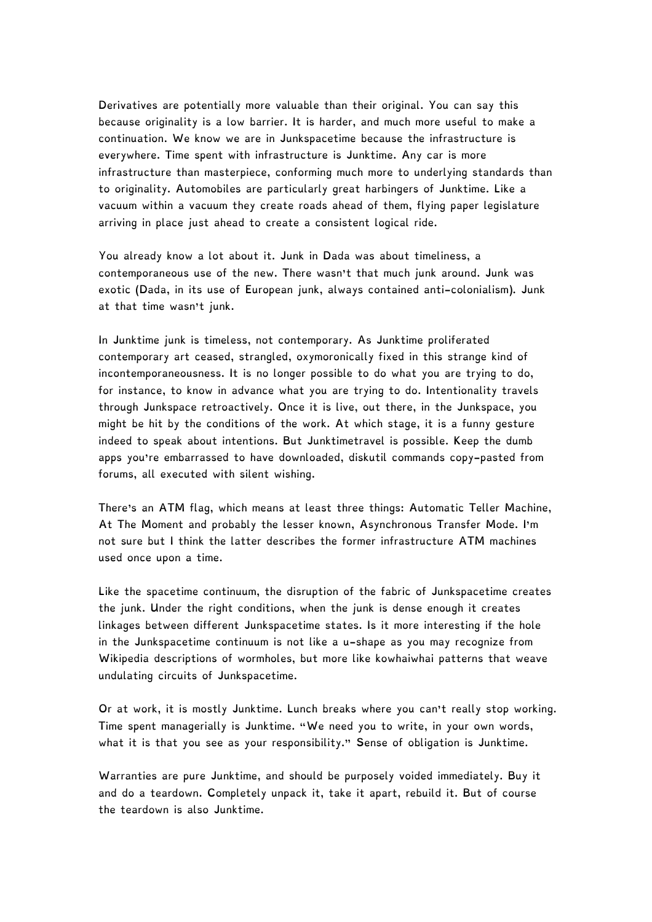Derivatives are potentially more valuable than their original. You can say this because originality is a low barrier. It is harder, and much more useful to make a continuation. We know we are in Junkspacetime because the infrastructure is everywhere. Time spent with infrastructure is Junktime. Any car is more infrastructure than masterpiece, conforming much more to underlying standards than to originality. Automobiles are particularly great harbingers of Junktime. Like a vacuum within a vacuum they create roads ahead of them, flying paper legislature arriving in place just ahead to create a consistent logical ride.

You already know a lot about it. Junk in Dada was about timeliness, a contemporaneous use of the new. There wasn't that much junk around. Junk was exotic (Dada, in its use of European junk, always contained anti-colonialism). Junk at that time wasn't junk.

In Junktime junk is timeless, not contemporary. As Junktime proliferated contemporary art ceased, strangled, oxymoronically fixed in this strange kind of incontemporaneousness. It is no longer possible to do what you are trying to do, for instance, to know in advance what you are trying to do. Intentionality travels through Junkspace retroactively. Once it is live, out there, in the Junkspace, you might be hit by the conditions of the work. At which stage, it is a funny gesture indeed to speak about intentions. But Junktimetravel is possible. Keep the dumb apps you're embarrassed to have downloaded, diskutil commands copy-pasted from forums, all executed with silent wishing.

There's an ATM flag, which means at least three things: Automatic Teller Machine, At The Moment and probably the lesser known, Asynchronous Transfer Mode. I'm not sure but I think the latter describes the former infrastructure ATM machines used once upon a time.

Like the spacetime continuum, the disruption of the fabric of Junkspacetime creates the junk. Under the right conditions, when the junk is dense enough it creates linkages between different Junkspacetime states. Is it more interesting if the hole in the Junkspacetime continuum is not like a u-shape as you may recognize from Wikipedia descriptions of wormholes, but more like kowhaiwhai patterns that weave undulating circuits of Junkspacetime.

Or at work, it is mostly Junktime. Lunch breaks where you can't really stop working. Time spent managerially is Junktime. "We need you to write, in your own words, what it is that you see as your responsibility." Sense of obligation is Junktime.

Warranties are pure Junktime, and should be purposely voided immediately. Buy it and do a teardown. Completely unpack it, take it apart, rebuild it. But of course the teardown is also Junktime.